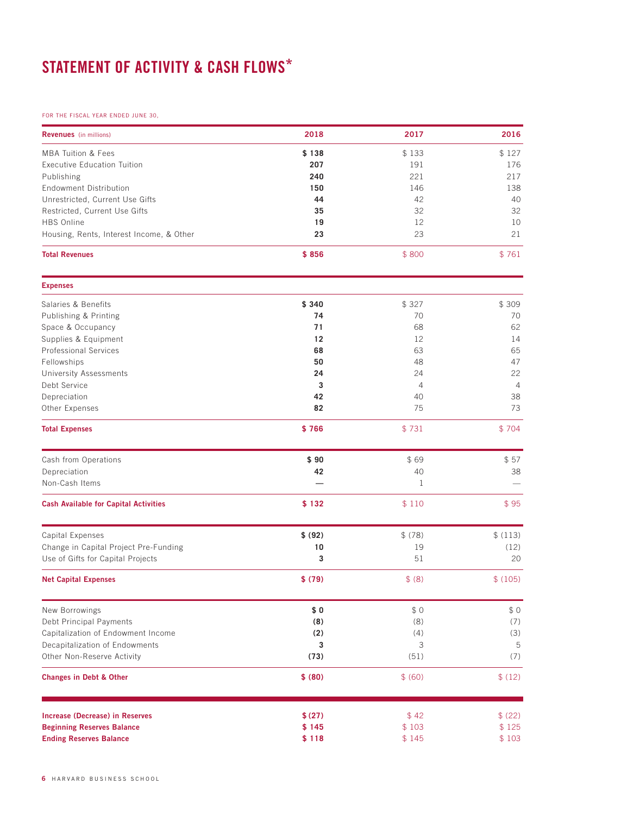## STATEMENT OF ACTIVITY & CASH FLOWS\*

## FOR THE FISCAL YEAR ENDED JUNE 30,

| <b>Revenues</b> (in millions)                | 2018    | 2017           | 2016           |
|----------------------------------------------|---------|----------------|----------------|
| <b>MBA Tuition &amp; Fees</b>                | \$138   | \$133          | \$127          |
| <b>Executive Education Tuition</b>           | 207     | 191            | 176            |
| Publishing                                   | 240     | 221            | 217            |
| <b>Endowment Distribution</b>                | 150     | 146            | 138            |
| Unrestricted, Current Use Gifts              | 44      | 42             | 40             |
| Restricted, Current Use Gifts                | 35      | 32             | 32             |
| <b>HBS Online</b>                            | 19      | 12             | 10             |
| Housing, Rents, Interest Income, & Other     | 23      | 23             | 21             |
| <b>Total Revenues</b>                        | \$856   | \$800          | \$761          |
| <b>Expenses</b>                              |         |                |                |
| Salaries & Benefits                          | \$340   | \$327          | \$309          |
| Publishing & Printing                        | 74      | 70             | 70             |
| Space & Occupancy                            | 71      | 68             | 62             |
| Supplies & Equipment                         | 12      | 12             | 14             |
| <b>Professional Services</b>                 | 68      | 63             | 65             |
| Fellowships                                  | 50      | 48             | 47             |
| <b>University Assessments</b>                | 24      | 24             | 22             |
| Debt Service                                 | 3       | $\overline{4}$ | $\overline{4}$ |
| Depreciation                                 | 42      | 40             | 38             |
| Other Expenses                               | 82      | 75             | 73             |
| <b>Total Expenses</b>                        | \$766   | \$731          | \$704          |
| Cash from Operations                         | \$90    | \$69           | \$57           |
| Depreciation                                 | 42      | 40             | 38             |
| Non-Cash Items                               |         | 1              |                |
|                                              |         |                |                |
| <b>Cash Available for Capital Activities</b> | \$132   | \$110          | \$95           |
| Capital Expenses                             | \$ (92) | \$ (78)        | \$(113)        |
| Change in Capital Project Pre-Funding        | 10      | 19             | (12)           |
| Use of Gifts for Capital Projects            | 3       | 51             | 20             |
| <b>Net Capital Expenses</b>                  | \$ (79) | \$ (8)         | \$(105)        |
| New Borrowings                               | \$0     | \$0            | \$0            |
| Debt Principal Payments                      | (8)     | (8)            | (7)            |
| Capitalization of Endowment Income           | (2)     | (4)            | (3)            |
| Decapitalization of Endowments               | 3       | 3              | 5              |
| Other Non-Reserve Activity                   | (73)    | (51)           | (7)            |
| <b>Changes in Debt &amp; Other</b>           | \$ (80) | \$ (60)        | \$(12)         |
| <b>Increase (Decrease) in Reserves</b>       | \$(27)  | \$42           | \$ (22)        |
| <b>Beginning Reserves Balance</b>            | \$145   | \$103          | \$125          |
| <b>Ending Reserves Balance</b>               | \$118   | \$145          | \$103          |
|                                              |         |                |                |